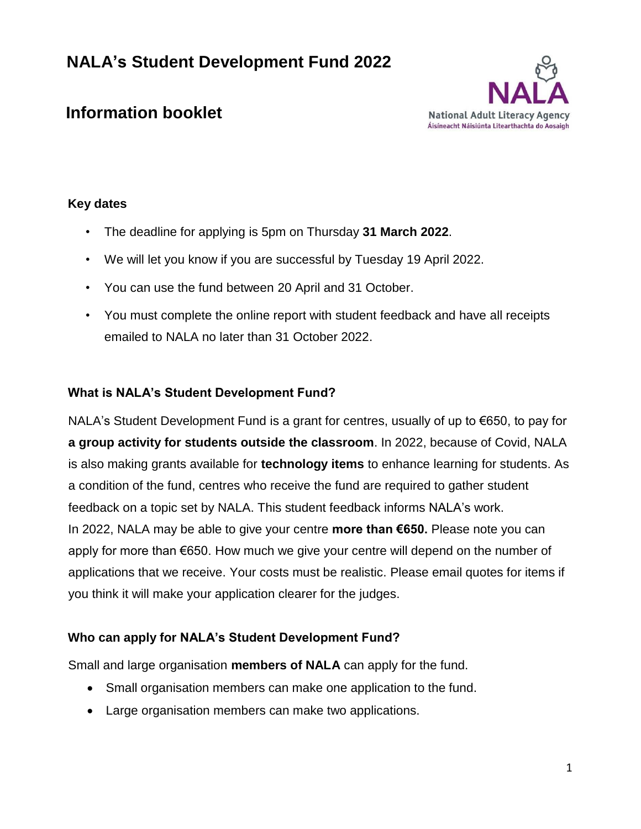

# **Information booklet**

# **Key dates**

- The deadline for applying is 5pm on Thursday **31 March 2022**.
- We will let you know if you are successful by Tuesday 19 April 2022.
- You can use the fund between 20 April and 31 October.
- You must complete the online report with student feedback and have all receipts emailed to NALA no later than 31 October 2022.

# **What is NALA's Student Development Fund?**

NALA's Student Development Fund is a grant for centres, usually of up to €650, to pay for **a group activity for students outside the classroom**. In 2022, because of Covid, NALA is also making grants available for **technology items** to enhance learning for students. As a condition of the fund, centres who receive the fund are required to gather student feedback on a topic set by NALA. This student feedback informs NALA's work. In 2022, NALA may be able to give your centre **more than €650.** Please note you can apply for more than €650. How much we give your centre will depend on the number of applications that we receive. Your costs must be realistic. Please email quotes for items if you think it will make your application clearer for the judges.

## **Who can apply for NALA's Student Development Fund?**

Small and large organisation **members of NALA** can apply for the fund.

- Small organisation members can make one application to the fund.
- Large organisation members can make two applications.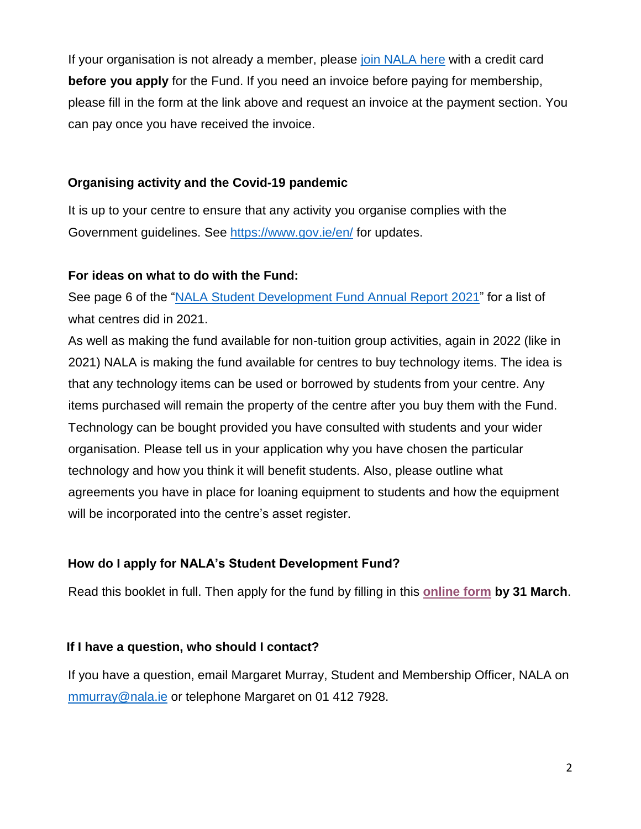If your organisation is not already a member, please [join NALA here](https://www.nala.ie/become-a-member/) with a credit card **before you apply** for the Fund. If you need an invoice before paying for membership, please fill in the form at the link above and request an invoice at the payment section. You can pay once you have received the invoice.

## **Organising activity and the Covid-19 pandemic**

It is up to your centre to ensure that any activity you organise complies with the Government guidelines. See<https://www.gov.ie/en/> for updates.

## **For ideas on what to do with the Fund:**

See page 6 of the ["NALA Student Development Fund Annual Report 2021"](https://www.nala.ie/publications/nala-student-development-fund-annual-report-2021/) for a list of what centres did in 2021.

As well as making the fund available for non-tuition group activities, again in 2022 (like in 2021) NALA is making the fund available for centres to buy technology items. The idea is that any technology items can be used or borrowed by students from your centre. Any items purchased will remain the property of the centre after you buy them with the Fund. Technology can be bought provided you have consulted with students and your wider organisation. Please tell us in your application why you have chosen the particular technology and how you think it will benefit students. Also, please outline what agreements you have in place for loaning equipment to students and how the equipment will be incorporated into the centre's asset register.

## **How do I apply for NALA's Student Development Fund?**

Read this booklet in full. Then apply for the fund by filling in this **[online form](https://forms.gle/BL1LxH2fDUfAnecG7) by 31 March**.

#### **If I have a question, who should I contact?**

If you have a question, email Margaret Murray, Student and Membership Officer, NALA on [mmurray@nala.ie](mailto:mmurray@nala.ie) or telephone Margaret on 01 412 7928.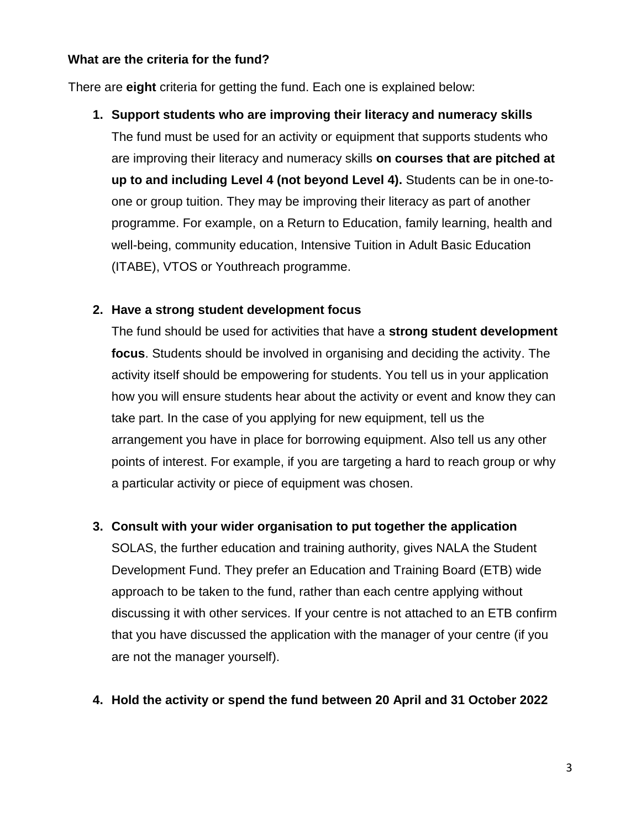#### **What are the criteria for the fund?**

There are **eight** criteria for getting the fund. Each one is explained below:

## **1. Support students who are improving their literacy and numeracy skills**

The fund must be used for an activity or equipment that supports students who are improving their literacy and numeracy skills **on courses that are pitched at up to and including Level 4 (not beyond Level 4).** Students can be in one-toone or group tuition. They may be improving their literacy as part of another programme. For example, on a Return to Education, family learning, health and well-being, community education, Intensive Tuition in Adult Basic Education (ITABE), VTOS or Youthreach programme.

## **2. Have a strong student development focus**

The fund should be used for activities that have a **strong student development focus**. Students should be involved in organising and deciding the activity. The activity itself should be empowering for students. You tell us in your application how you will ensure students hear about the activity or event and know they can take part. In the case of you applying for new equipment, tell us the arrangement you have in place for borrowing equipment. Also tell us any other points of interest. For example, if you are targeting a hard to reach group or why a particular activity or piece of equipment was chosen.

## **3. Consult with your wider organisation to put together the application**

SOLAS, the further education and training authority, gives NALA the Student Development Fund. They prefer an Education and Training Board (ETB) wide approach to be taken to the fund, rather than each centre applying without discussing it with other services. If your centre is not attached to an ETB confirm that you have discussed the application with the manager of your centre (if you are not the manager yourself).

#### **4. Hold the activity or spend the fund between 20 April and 31 October 2022**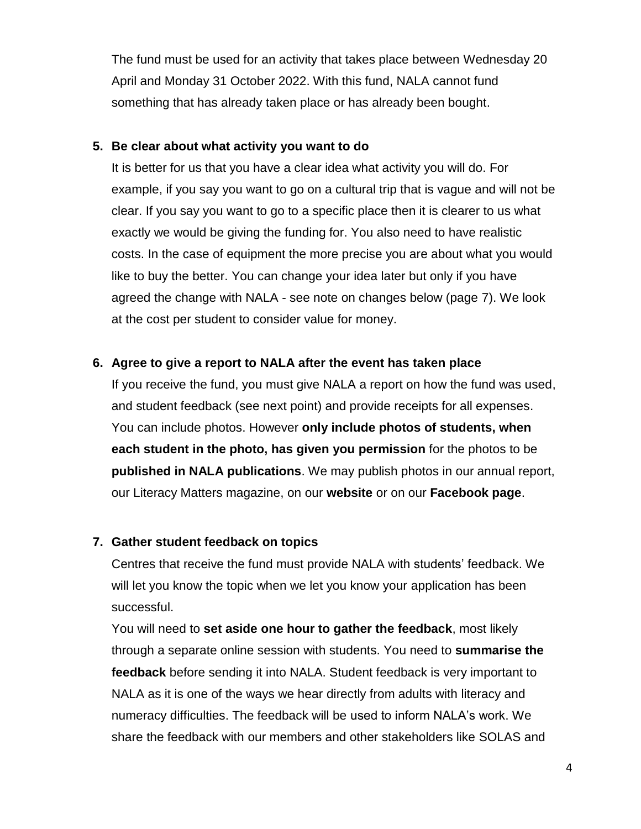The fund must be used for an activity that takes place between Wednesday 20 April and Monday 31 October 2022. With this fund, NALA cannot fund something that has already taken place or has already been bought.

#### **5. Be clear about what activity you want to do**

It is better for us that you have a clear idea what activity you will do. For example, if you say you want to go on a cultural trip that is vague and will not be clear. If you say you want to go to a specific place then it is clearer to us what exactly we would be giving the funding for. You also need to have realistic costs. In the case of equipment the more precise you are about what you would like to buy the better. You can change your idea later but only if you have agreed the change with NALA - see note on changes below (page 7). We look at the cost per student to consider value for money.

## **6. Agree to give a report to NALA after the event has taken place**

If you receive the fund, you must give NALA a report on how the fund was used, and student feedback (see next point) and provide receipts for all expenses. You can include photos. However **only include photos of students, when each student in the photo, has given you permission** for the photos to be **published in NALA publications**. We may publish photos in our annual report, our Literacy Matters magazine, on our **website** or on our **Facebook page**.

## **7. Gather student feedback on topics**

Centres that receive the fund must provide NALA with students' feedback. We will let you know the topic when we let you know your application has been successful.

You will need to **set aside one hour to gather the feedback**, most likely through a separate online session with students. You need to **summarise the feedback** before sending it into NALA. Student feedback is very important to NALA as it is one of the ways we hear directly from adults with literacy and numeracy difficulties. The feedback will be used to inform NALA's work. We share the feedback with our members and other stakeholders like SOLAS and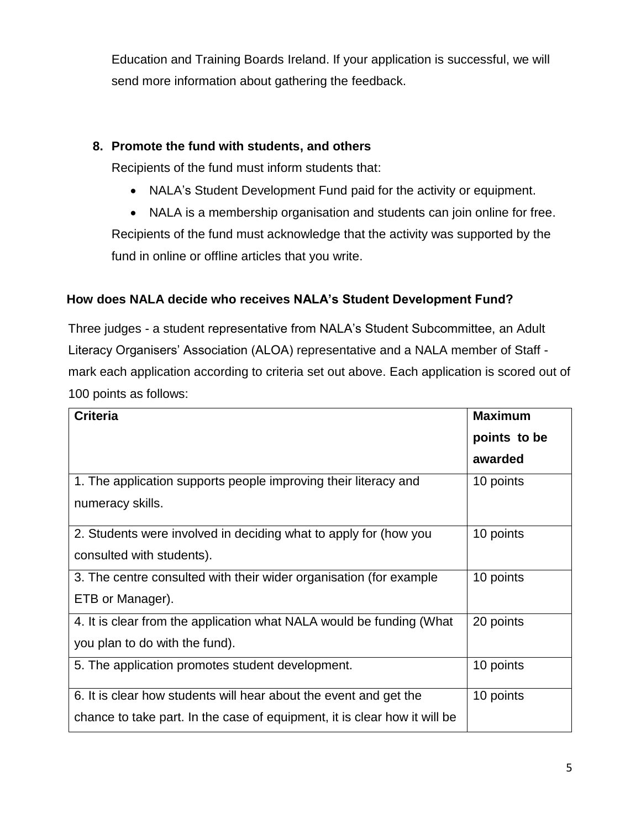Education and Training Boards Ireland. If your application is successful, we will send more information about gathering the feedback.

# **8. Promote the fund with students, and others**

Recipients of the fund must inform students that:

- NALA's Student Development Fund paid for the activity or equipment.
- NALA is a membership organisation and students can join online for free. Recipients of the fund must acknowledge that the activity was supported by the fund in online or offline articles that you write.

# **How does NALA decide who receives NALA's Student Development Fund?**

Three judges - a student representative from NALA's Student Subcommittee, an Adult Literacy Organisers' Association (ALOA) representative and a NALA member of Staff mark each application according to criteria set out above. Each application is scored out of 100 points as follows:

| <b>Criteria</b>                                                           | <b>Maximum</b> |
|---------------------------------------------------------------------------|----------------|
|                                                                           | points to be   |
|                                                                           | awarded        |
| 1. The application supports people improving their literacy and           | 10 points      |
| numeracy skills.                                                          |                |
| 2. Students were involved in deciding what to apply for (how you          | 10 points      |
| consulted with students).                                                 |                |
| 3. The centre consulted with their wider organisation (for example        | 10 points      |
| ETB or Manager).                                                          |                |
| 4. It is clear from the application what NALA would be funding (What      | 20 points      |
| you plan to do with the fund).                                            |                |
| 5. The application promotes student development.                          | 10 points      |
| 6. It is clear how students will hear about the event and get the         | 10 points      |
| chance to take part. In the case of equipment, it is clear how it will be |                |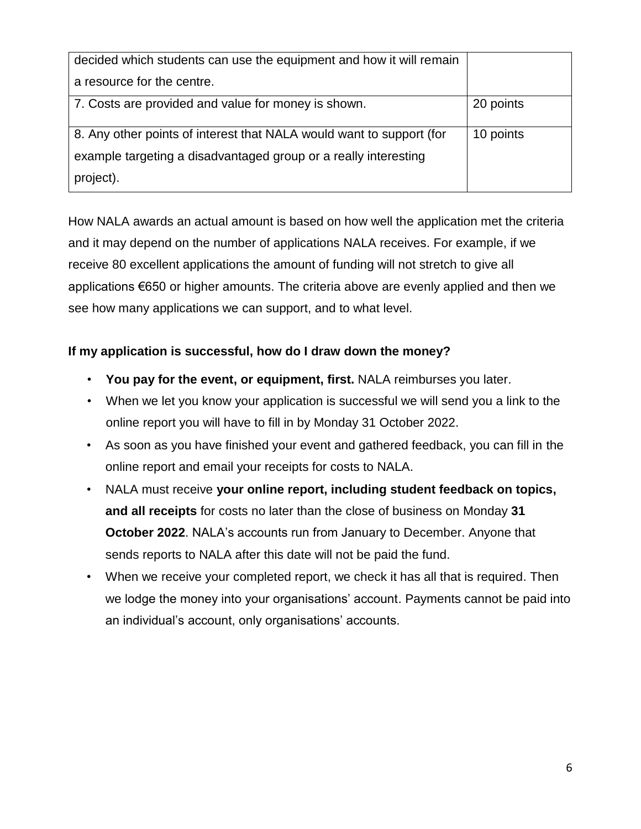| decided which students can use the equipment and how it will remain  |           |
|----------------------------------------------------------------------|-----------|
| a resource for the centre.                                           |           |
| 7. Costs are provided and value for money is shown.                  | 20 points |
| 8. Any other points of interest that NALA would want to support (for | 10 points |
| example targeting a disadvantaged group or a really interesting      |           |
| project).                                                            |           |

How NALA awards an actual amount is based on how well the application met the criteria and it may depend on the number of applications NALA receives. For example, if we receive 80 excellent applications the amount of funding will not stretch to give all applications €650 or higher amounts. The criteria above are evenly applied and then we see how many applications we can support, and to what level.

# **If my application is successful, how do I draw down the money?**

- **You pay for the event, or equipment, first.** NALA reimburses you later.
- When we let you know your application is successful we will send you a link to the online report you will have to fill in by Monday 31 October 2022.
- As soon as you have finished your event and gathered feedback, you can fill in the online report and email your receipts for costs to NALA.
- NALA must receive **your online report, including student feedback on topics, and all receipts** for costs no later than the close of business on Monday **31 October 2022**. NALA's accounts run from January to December. Anyone that sends reports to NALA after this date will not be paid the fund.
- When we receive your completed report, we check it has all that is required. Then we lodge the money into your organisations' account. Payments cannot be paid into an individual's account, only organisations' accounts.